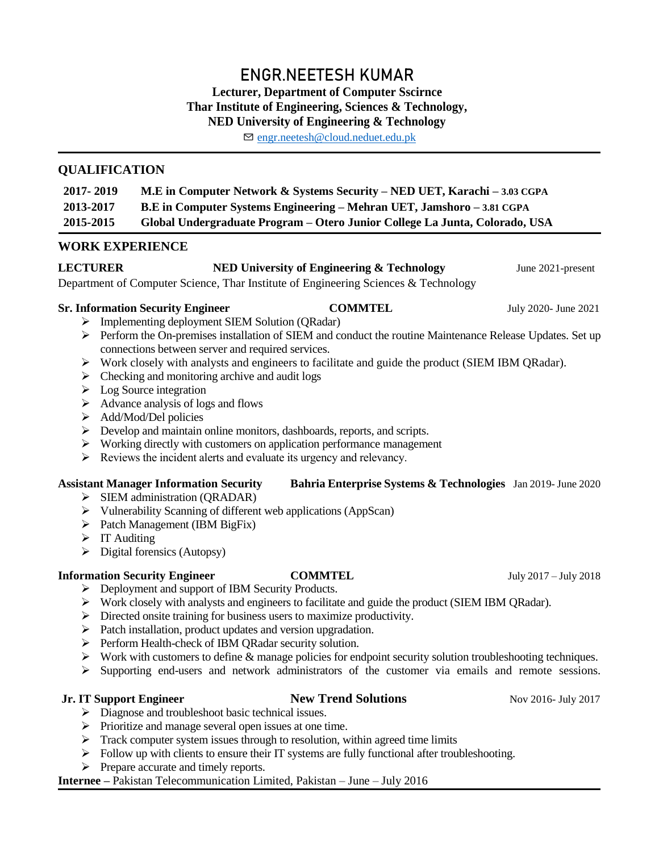# **ENGR.NEETESH KUMAR Lecturer, Department of Computer Sscirnce Thar Institute of Engineering, Sciences & Technology, NED University of Engineering & Technology**

✉ [engr.neetesh@cloud.neduet.edu.](mailto:engr.neetesh@gmail.com)pk

# **QUALIFICATION**

| 2017 - 2019 | M.E in Computer Network & Systems Security – NED UET, Karachi – 3.03 CGPA     |
|-------------|-------------------------------------------------------------------------------|
| 2013-2017   | <b>B.E</b> in Computer Systems Engineering – Mehran UET, Jamshoro – 3.81 CGPA |
| 2015-2015   | Global Undergraduate Program – Otero Junior College La Junta, Colorado, USA   |

## **WORK EXPERIENCE**

# **LECTURER** NED University of Engineering & Technology June 2021-present

Department of Computer Science, Thar Institute of Engineering Sciences & Technology

### **Sr. Information Security Engineer COMMTEL** July 2020- June 2021

> Implementing deployment SIEM Solution (QRadar)

- Perform the On-premises installation of SIEM and conduct the routine Maintenance Release Updates. Set up connections between server and required services.
- $\triangleright$  Work closely with analysts and engineers to facilitate and guide the product (SIEM IBM ORadar).
- $\triangleright$  Checking and monitoring archive and audit logs
- $\triangleright$  Log Source integration
- $\triangleright$  Advance analysis of logs and flows
- Add/Mod/Del policies
- $\triangleright$  Develop and maintain online monitors, dashboards, reports, and scripts.
- $\triangleright$  Working directly with customers on application performance management
- $\triangleright$  Reviews the incident alerts and evaluate its urgency and relevancy.

### **Assistant Manager Information Security Bahria Enterprise Systems & Technologies** Jan 2019- June 2020

- $\triangleright$  SIEM administration (QRADAR)
- Vulnerability Scanning of different web applications (AppScan)
- $\triangleright$  Patch Management (IBM BigFix)
- $\triangleright$  IT Auditing
- $\triangleright$  Digital forensics (Autopsy)

# **Information Security Engineer COMMTEL** July 2017 – July 2018

- Deployment and support of IBM Security Products.
- $\triangleright$  Work closely with analysts and engineers to facilitate and guide the product (SIEM IBM QRadar).
- $\triangleright$  Directed onsite training for business users to maximize productivity.
- $\triangleright$  Patch installation, product updates and version upgradation.
- Perform Health-check of IBM QRadar security solution.
- $\triangleright$  Work with customers to define & manage policies for endpoint security solution troubleshooting techniques.
- $\triangleright$  Supporting end-users and network administrators of the customer via emails and remote sessions.

# **Jr. IT Support Engineer New Trend Solutions** Nov 2016- July 2017

- Diagnose and troubleshoot basic technical issues.
- $\triangleright$  Prioritize and manage several open issues at one time.
- $\triangleright$  Track computer system issues through to resolution, within agreed time limits
- $\triangleright$  Follow up with clients to ensure their IT systems are fully functional after troubleshooting.
- $\triangleright$  Prepare accurate and timely reports.

# **Internee –** Pakistan Telecommunication Limited, Pakistan – June – July 2016